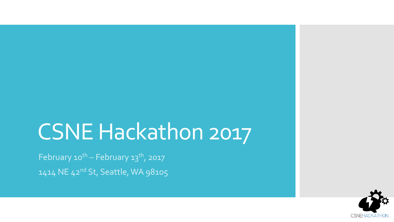# CSNE Hackathon 2017

February  $10^{th}$  - February  $13^{th}$ , 2017 1414 NE 42nd St, Seattle, WA 98105

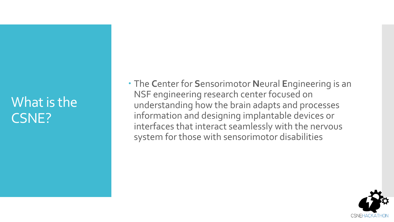# What is the CSNE?

 The **C**enter for **S**ensorimotor **N**eural **E**ngineering is an NSF engineering research center focused on understanding how the brain adapts and processes information and designing implantable devices or interfaces that interact seamlessly with the nervous system for those with sensorimotor disabilities

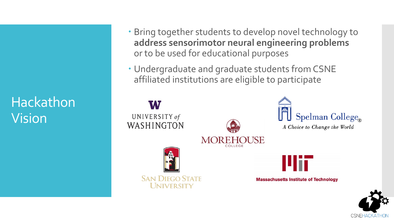# Hackathon Vision

- Bring together students to develop novel technology to **address sensorimotor neural engineering problems** or to be used for educational purposes
- Undergraduate and graduate students from CSNE affiliated institutions are eligible to participate



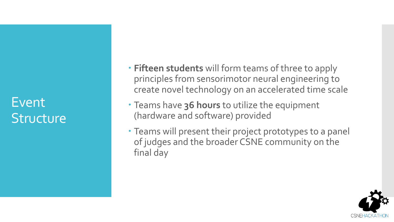# Event **Structure**

- **Fifteen students** will form teams of three to apply principles from sensorimotor neural engineering to create novel technology on an accelerated time scale
- Teams have **36 hours** to utilize the equipment (hardware and software) provided
- Teams will present their project prototypes to a panel of judges and the broader CSNE community on the final day

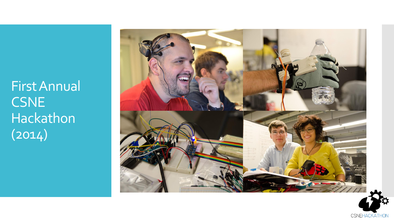First Annual CSNE Hackathon  $(2014)$ 



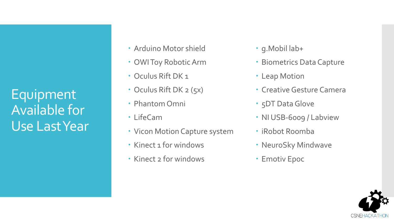Equipment Available for Use Last Year

- Arduino Motor shield
- OWI Toy Robotic Arm
- Oculus Rift DK 1
- Oculus Rift DK 2 (5x)
- Phantom Omni
- LifeCam
- Vicon Motion Capture system
- Kinect 1 for windows
- Kinect 2 for windows
- g.Mobil lab+
- Biometrics Data Capture
- Leap Motion
- Creative Gesture Camera
- 5DT Data Glove
- NI USB-6009 / Labview
- iRobot Roomba
- NeuroSky Mindwave
- Emotiv Epoc

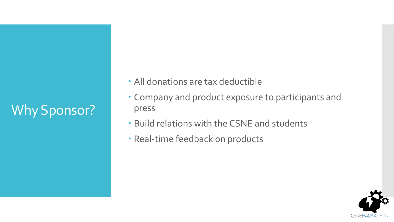# Why Sponsor?

- All donations are tax deductible
- Company and product exposure to participants and press
- Build relations with the CSNE and students
- Real-time feedback on products

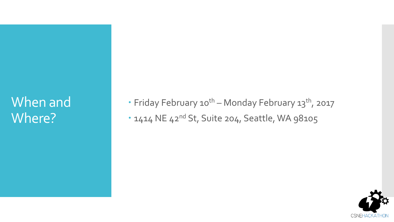# When and Where?

- Friday February 10<sup>th</sup> Monday February 13<sup>th</sup>, 2017
- . 1414 NE 42<sup>nd</sup> St, Suite 204, Seattle, WA 98105

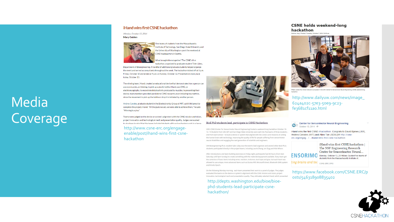#### iHand wins first CSNE hackathon

Monday, October 13, 2014

**Mary Guiden** 



ive teams of students from the Massachusetts Institute of Technology, San Diego State University and the University of Washington spent the weekend at CSNE headquarters in Seattle.

> Vhat brought them together? The CSNE's first hackathon, organized by graduate student Tyler Libey,

Department of Bioengineering. A handful of additional graduate students helped organize the event and served as consultants throughout the week. The hackathon kicked off at 5 p.m. Friday, October 10 and ended at 9 p.m. on Sunday, October 12. Presentations took place today, October 13.

The winning team, iHand, created an educational device that demonstrates how a person can use eye muscles, or blinking, to pick up a plastic bottle. iHand uses EMG, or electromyography, to record electrical activity produced by muscles. In presenting their device, team members provided parallels to CSNE research, even including neuroethics, since the movement to pick up the bottle or drop it is initiated by another person.

Andres Canales, graduate student in the Bioelectronics Group at MIT, said it felt great to complete the project, iHand. "All the goals we set, we were able to achieve them," he said. "Winning is a plus."

Teams were judged on the device or system's alignment with the CSNE mission and vision, project innovation and technological merit and presentation quality. Judges were asked to also keen in mind that the teams included students with various backgrounds in science

http://www.csne-erc.org/engageenable/post/ihand-wins-first-csnehackathon



#### BioE PhD students lead, participate in CSNE Hackathon

UW's CSNE (Center for Sensorimotor Neural Engineering) hosted a weekend-long hackathon October 10-12. 15 Students from UW, MIT and San Diego State University were split into five teams of three students one from each school - to build a device or system that aligned with the CSNE's core missions of uniting the human brain with technology, improving the quality of life for people suffering from sensorimotor neural disabilities and engaging the next generation of scientists and engineers.

UW Bioengineering Ph.D. student Tyler Libey was the event's lead organizer and several other BioE Ph.D. students participated directly in the project teams, including Laurie Zhang, Ian Dryg and Nile Wilson.

After introductions and team-building exercises on Friday night, participants had 36 hours (from 9am Saturday until 9pm Sunday) to create something with the materials/equipment available. Every team got the same box of basic items including wires, resistors, Arduinos, duct tape and glue, but each team was allowed to use unique, more advanced items such as Oculus Rift, Microsoft Kinect, Bluetooth EMG system and Emotiv Epoch.

On the following Monday morning, each team presented their work to a panel of judges. The judges evaluated the teams on the device or system's alignment with the CSNE mission and vision, project innovation, technological merit and presentation quality. They ultimately selected iHand, which presented

http://depts.washington.edu/bioe/bioephd-students-lead-participate-csnehackathon/

#### **CSNE holds weekend-long** hackathon



mpeted in the UW's Center for Sensorimotor Neural Engineering (CSNE) weekend-long

http://www.dailyuw.com/news/image 624a402C-57e3-50e9-9c23fe3681cf11ao.html

**Center for Sensorimotor Neural Engineering** Ð October 13, 2014 · @

iHand wins the first CSNE #hackathon. Congrats to David Bjanes (UW), Andres Canales (MIT) and Allen Tan (SDSU) !!! http://csneerc.org/engag.../.../ihand-wins-first-csne-hackathon

iHand wins first CSNE hackathon | The NSF Engineering Research Center for Sensorimotor Neural.. **ENSORIMO** Monday, October 13, 2014Mary GuidenFive teams of students from the Massachusetts Institute of...

ting brains and ted <sub>CSNE-ERC.ORG</sub>

https://www.facebook.com/CSNE.ERC/p osts/546318908835402



## Media Coverage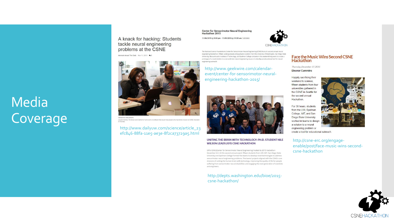# Media Coverage

A knack for hacking: Students tackle neural engineering problems at the CSNE

Aleenah Ansari The Daily Nov 11, 2015



Oleksandra Makushenki Jaycee Holmes, Tim Brown and Catherine Yunis work on software that would help people who had stroke recover at CSNE Hackaton<br>on Sunday.

http://www.dailyuw.com/science/article\_23 efc846-88fa-11e5-ae3e-8f2ca73729a5.html

#### **Center for Sensorimotor Neural Engineering** Hackathon 2015

engineering outreach.

11/06/2015 @ 5:00 pm - 11/09/2015 @ 11:00 am | \$10000



The National Science Foundation's Center for Sensorimotor Neural Engineering (CSNE) hosts its second annual neural engineering hackathon. Fifteen undergraduate and graduate students from the University of Washington, San Diego State University, Massachusetts Institute of Technology, and Spelman College compete in this weekend long event to create a prototype of a novel solution to a sensorimotor neural engineering issue or to develop an educational tool for neural

http://www.geekwire.com/calendarevent/center-for-sensorimotor-neuralengineering-hackathon-2015/



#### UNITING THE BRAIN WITH TECHNOLOGY: PH.D. STUDENT NILE **WILSON LEADS 2015 CSNE HACKATHON**

UW's CSNE (Center for Sensorimotor Neural Engineering) hosted its 2015 Hackathon November 6-9. At this second annual event, fifteen students from UW, MIT, San Diego State University and Spelman College formed five teams to develop novel technologies to address sensorimotor neural engineering problems. The teams' projects aligned with the CSNE's core missions of uniting the human brain with technology, improving the quality of life for people suffering from sensorimotor neural disabilities and engaging the next generation of scientists and engineers.

#### http://depts.washington.edu/bioe/2015 csne-hackathon/



Thursday, December 17, 2015 **Eleanor Cummins** 

Happily sacrificing their weekend to science. fifteen students from four universities gathered in the CSNE in Seattle for the second annual Hackathon.

For 36 hours, students from the UW, Spelman College, MIT, and San Diego State University worked in teams to design a solution to a neural engineering problem or create a tool for educational outreach



http://csne-erc.org/engageenable/post/face-music-wins-secondcsne-hackathon